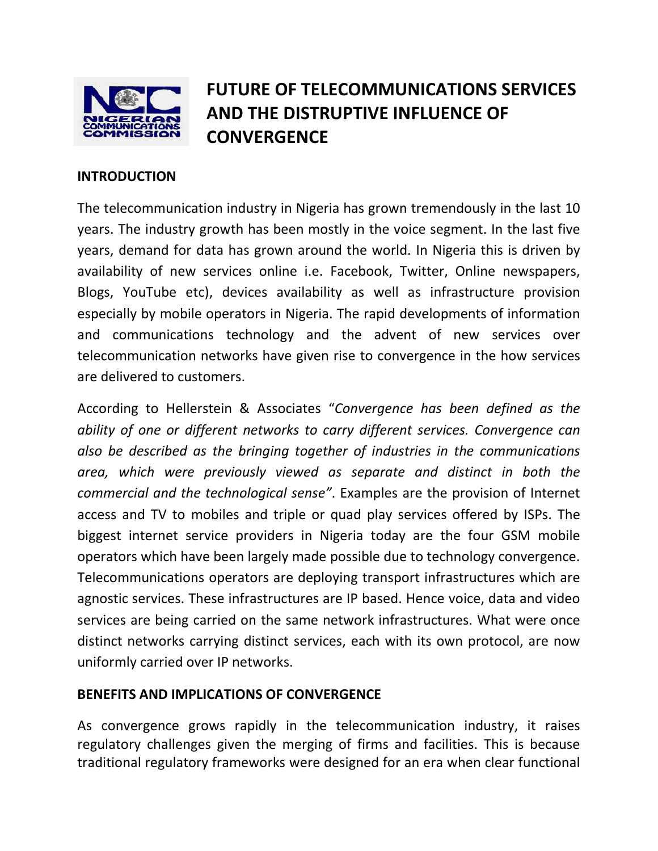

# FUTURE OF TELECOMMUNICATIONS SERVICES AND THE DISTRUPTIVE INFLUENCE OF **CONVERGENCE**

### **INTRODUCTION**

The telecommunication industry in Nigeria has grown tremendously in the last 10 years. The industry growth has been mostly in the voice segment. In the last five years, demand for data has grown around the world. In Nigeria this is driven by availability of new services online i.e. Facebook, Twitter, Online newspapers, Blogs, YouTube etc), devices availability as well as infrastructure provision especially by mobile operators in Nigeria. The rapid developments of information and communications technology and the advent of new services over telecommunication networks have given rise to convergence in the how services are delivered to customers.

According to Hellerstein & Associates "Convergence has been defined as the ability of one or different networks to carry different services. Convergence can also be described as the bringing together of industries in the communications area, which were previously viewed as separate and distinct in both the commercial and the technological sense". Examples are the provision of Internet access and TV to mobiles and triple or quad play services offered by ISPs. The biggest internet service providers in Nigeria today are the four GSM mobile operators which have been largely made possible due to technology convergence. Telecommunications operators are deploying transport infrastructures which are agnostic services. These infrastructures are IP based. Hence voice, data and video services are being carried on the same network infrastructures. What were once distinct networks carrying distinct services, each with its own protocol, are now uniformly carried over IP networks.

## BENEFITS AND IMPLICATIONS OF CONVERGENCE

As convergence grows rapidly in the telecommunication industry, it raises regulatory challenges given the merging of firms and facilities. This is because traditional regulatory frameworks were designed for an era when clear functional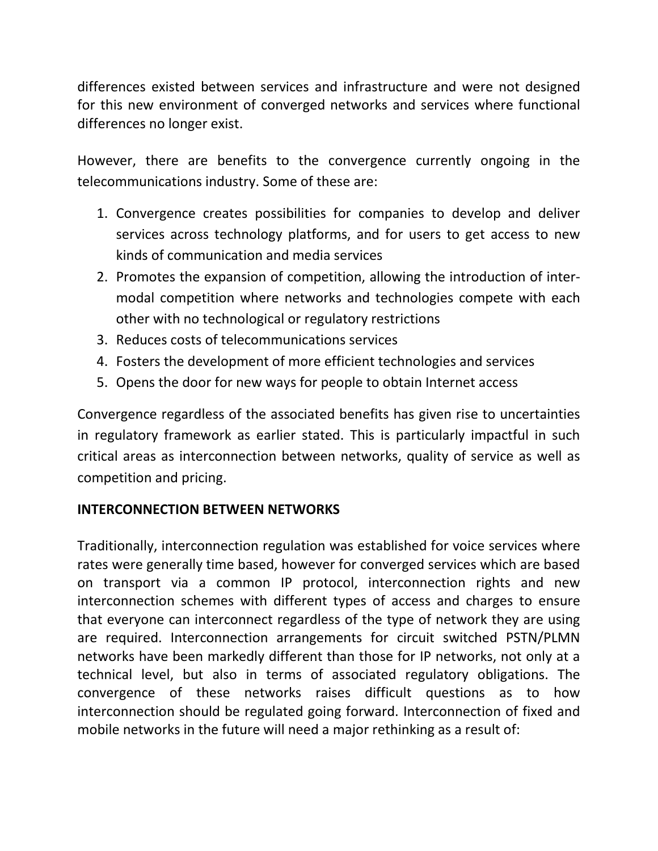differences existed between services and infrastructure and were not designed for this new environment of converged networks and services where functional differences no longer exist.

However, there are benefits to the convergence currently ongoing in the telecommunications industry. Some of these are:

- 1. Convergence creates possibilities for companies to develop and deliver services across technology platforms, and for users to get access to new kinds of communication and media services
- 2. Promotes the expansion of competition, allowing the introduction of intermodal competition where networks and technologies compete with each other with no technological or regulatory restrictions
- 3. Reduces costs of telecommunications services
- 4. Fosters the development of more efficient technologies and services
- 5. Opens the door for new ways for people to obtain Internet access

Convergence regardless of the associated benefits has given rise to uncertainties in regulatory framework as earlier stated. This is particularly impactful in such critical areas as interconnection between networks, quality of service as well as competition and pricing.

# INTERCONNECTION BETWEEN NETWORKS

Traditionally, interconnection regulation was established for voice services where rates were generally time based, however for converged services which are based on transport via a common IP protocol, interconnection rights and new interconnection schemes with different types of access and charges to ensure that everyone can interconnect regardless of the type of network they are using are required. Interconnection arrangements for circuit switched PSTN/PLMN networks have been markedly different than those for IP networks, not only at a technical level, but also in terms of associated regulatory obligations. The convergence of these networks raises difficult questions as to how interconnection should be regulated going forward. Interconnection of fixed and mobile networks in the future will need a major rethinking as a result of: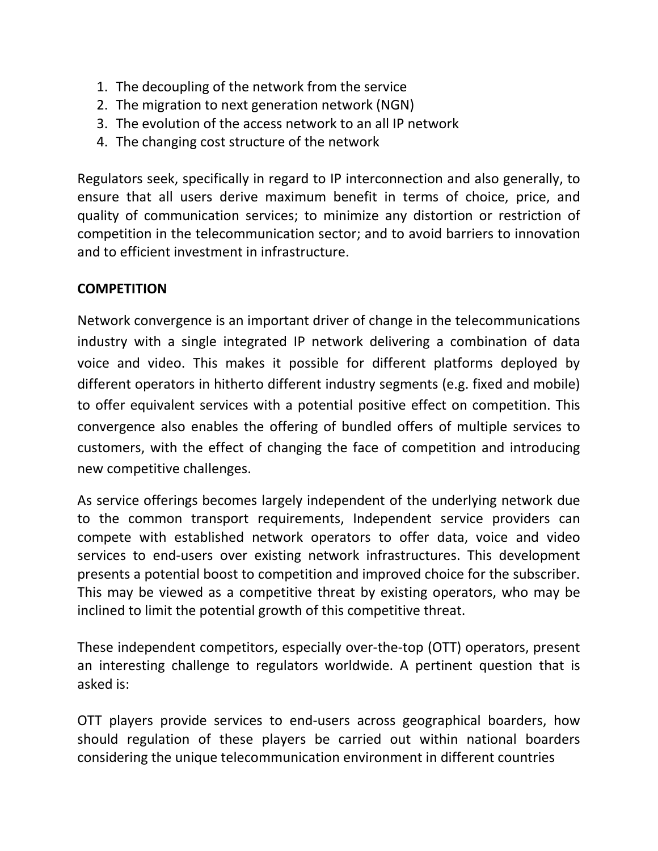- 1. The decoupling of the network from the service
- 2. The migration to next generation network (NGN)
- 3. The evolution of the access network to an all IP network
- 4. The changing cost structure of the network

Regulators seek, specifically in regard to IP interconnection and also generally, to ensure that all users derive maximum benefit in terms of choice, price, and quality of communication services; to minimize any distortion or restriction of competition in the telecommunication sector; and to avoid barriers to innovation and to efficient investment in infrastructure.

## **COMPETITION**

Network convergence is an important driver of change in the telecommunications industry with a single integrated IP network delivering a combination of data voice and video. This makes it possible for different platforms deployed by different operators in hitherto different industry segments (e.g. fixed and mobile) to offer equivalent services with a potential positive effect on competition. This convergence also enables the offering of bundled offers of multiple services to customers, with the effect of changing the face of competition and introducing new competitive challenges.

As service offerings becomes largely independent of the underlying network due to the common transport requirements, Independent service providers can compete with established network operators to offer data, voice and video services to end-users over existing network infrastructures. This development presents a potential boost to competition and improved choice for the subscriber. This may be viewed as a competitive threat by existing operators, who may be inclined to limit the potential growth of this competitive threat.

These independent competitors, especially over-the-top (OTT) operators, present an interesting challenge to regulators worldwide. A pertinent question that is asked is:

OTT players provide services to end-users across geographical boarders, how should regulation of these players be carried out within national boarders considering the unique telecommunication environment in different countries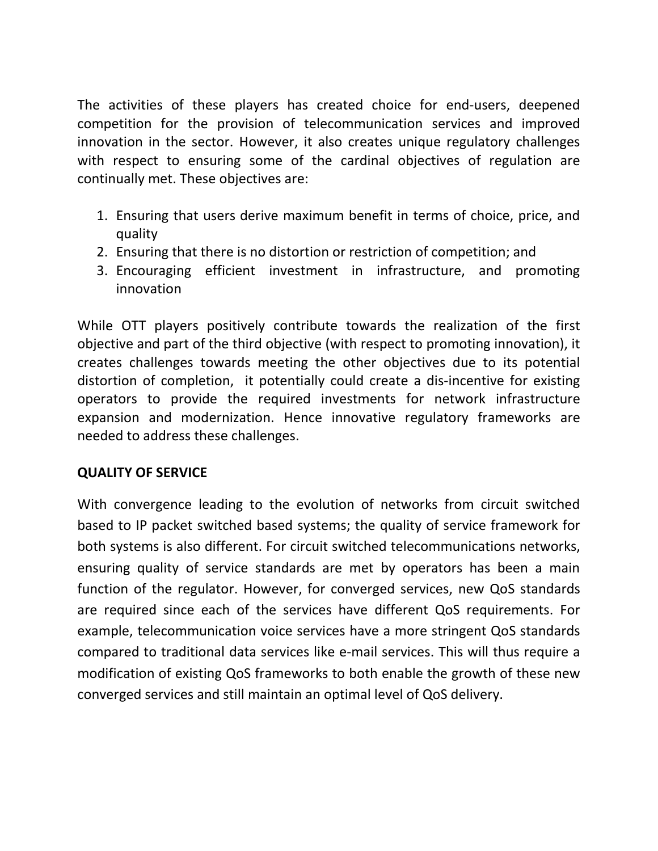The activities of these players has created choice for end-users, deepened competition for the provision of telecommunication services and improved innovation in the sector. However, it also creates unique regulatory challenges with respect to ensuring some of the cardinal objectives of regulation are continually met. These objectives are:

- 1. Ensuring that users derive maximum benefit in terms of choice, price, and quality
- 2. Ensuring that there is no distortion or restriction of competition; and
- 3. Encouraging efficient investment in infrastructure, and promoting innovation

While OTT players positively contribute towards the realization of the first objective and part of the third objective (with respect to promoting innovation), it creates challenges towards meeting the other objectives due to its potential distortion of completion, it potentially could create a dis-incentive for existing operators to provide the required investments for network infrastructure expansion and modernization. Hence innovative regulatory frameworks are needed to address these challenges.

## QUALITY OF SERVICE

With convergence leading to the evolution of networks from circuit switched based to IP packet switched based systems; the quality of service framework for both systems is also different. For circuit switched telecommunications networks, ensuring quality of service standards are met by operators has been a main function of the regulator. However, for converged services, new QoS standards are required since each of the services have different QoS requirements. For example, telecommunication voice services have a more stringent QoS standards compared to traditional data services like e-mail services. This will thus require a modification of existing QoS frameworks to both enable the growth of these new converged services and still maintain an optimal level of QoS delivery.